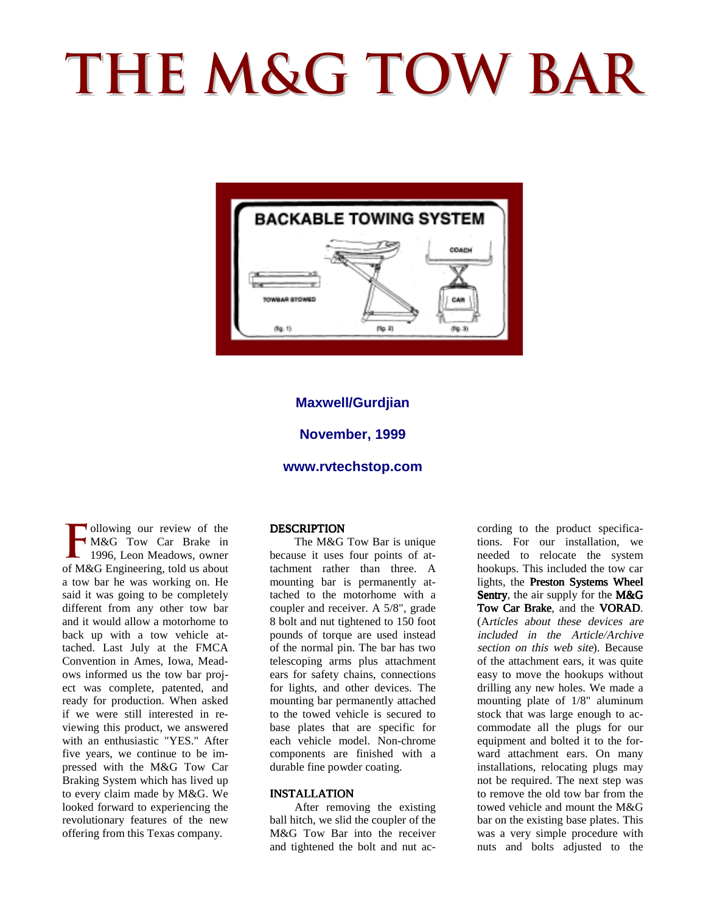# **THE M&G TOW BAR**



# **Maxwell/Gurdjian**

# **November, 1999**

## **www.rvtechstop.com**

ollowing our review of the M&G Tow Car Brake in 1996, Leon Meadows, owner of M&G Engineering, told us about a tow bar he was working on. He said it was going to be completely different from any other tow bar and it would allow a motorhome to back up with a tow vehicle attached. Last July at the FMCA Convention in Ames, Iowa, Meadows informed us the tow bar project was complete, patented, and ready for production. When asked if we were still interested in reviewing this product, we answered with an enthusiastic "YES." After five years, we continue to be impressed with the M&G Tow Car Braking System which has lived up to every claim made by M&G. We looked forward to experiencing the revolutionary features of the new offering from this Texas company. **F**

### DESCRIPTION

The M&G Tow Bar is unique because it uses four points of attachment rather than three. A mounting bar is permanently attached to the motorhome with a coupler and receiver. A 5/8", grade 8 bolt and nut tightened to 150 foot pounds of torque are used instead of the normal pin. The bar has two telescoping arms plus attachment ears for safety chains, connections for lights, and other devices. The mounting bar permanently attached to the towed vehicle is secured to base plates that are specific for each vehicle model. Non-chrome components are finished with a durable fine powder coating.

#### INSTALLATION

After removing the existing ball hitch, we slid the coupler of the M&G Tow Bar into the receiver and tightened the bolt and nut ac-

cording to the product specifications. For our installation, we needed to relocate the system hookups. This included the tow car lights, the Preston Systems Wheel Sentry, the air supply for the M&G Tow Car Brake, and the VORAD. (Articles about these devices are included in the Article/Archive section on this web site). Because of the attachment ears, it was quite easy to move the hookups without drilling any new holes. We made a mounting plate of 1/8" aluminum stock that was large enough to accommodate all the plugs for our equipment and bolted it to the forward attachment ears. On many installations, relocating plugs may not be required. The next step was to remove the old tow bar from the towed vehicle and mount the M&G bar on the existing base plates. This was a very simple procedure with nuts and bolts adjusted to the